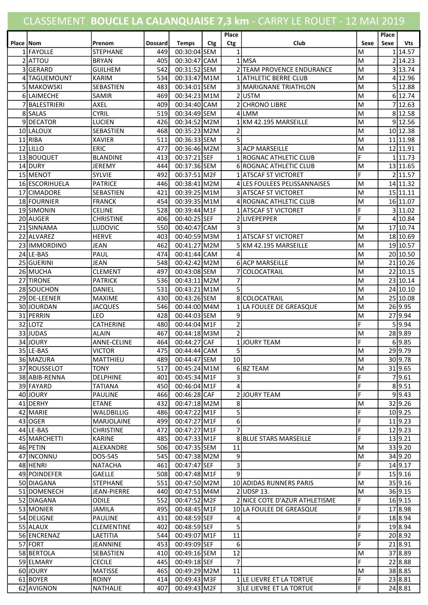## CLASSEMENT BOUCLE LA CALANQUAISE 7,3 km - CARRY LE ROUET - 12 MAI 2019

| Place   Nom |                | Prenom             | <b>Dossard</b> | <b>Temps</b> | <b>Ctg</b> | Place<br>Ctg   | Club                          | Sexe | Place<br>Sexe | Vts      |
|-------------|----------------|--------------------|----------------|--------------|------------|----------------|-------------------------------|------|---------------|----------|
|             | 1 FAYOLLE      | <b>STEPHANE</b>    | 449            | 00:30:04 SEM |            | $\mathbf{1}$   |                               | M    |               | 114.57   |
|             | 2 ATTOU        | <b>BRYAN</b>       | 405            | 00:30:47 CAM |            |                | 1 MSA                         | M    |               | 2 14.23  |
|             | 3 GERARD       | <b>GUILHEM</b>     | 542            | 00:31:52 SEM |            |                | 2 TEAM PROVENCE ENDURANCE     | M    |               | 3 13.74  |
|             | 4 TAGUEMOUNT   | <b>KARIM</b>       | 534            | 00:33:47 M1M |            |                | 1 ATHLETIC BERRE CLUB         | M    |               | 4 12.96  |
|             | 5 MAKOWSKI     | SEBASTIEN          | 483            | 00:34:01 SEM |            |                | 3 MARIGNANE TRIATHLON         | M    |               | 5 12.88  |
|             | 6 LAIMECHE     | SAMIR              | 469            | 00:34:23 M1M |            |                | 2USTM                         | M    |               | 6 12.74  |
|             | 7 BALESTRIERI  | <b>AXEL</b>        | 409            | 00:34:40 CAM |            |                | 2 CHRONO LIBRE                | M    |               | 7 12.63  |
|             | 8 SALAS        | <b>CYRIL</b>       | 519            | 00:34:49 SEM |            |                | 4LMM                          | M    |               | 8 12.58  |
|             | 9DECATOR       | <b>LUCIEN</b>      | 426            | 00:34:52 M2M |            |                | KM 42.195 MARSEILLE           | M    |               | 9 12.56  |
|             | 10 LALOUX      | SEBASTIEN          | 468            | 00:35:23 M2M |            | 2              |                               | M    |               | 10 12.38 |
|             | 11 RIBA        | <b>XAVIER</b>      | 511            | 00:36:33 SEM |            | 5              |                               | M    |               | 11 11.98 |
|             | $12$ ULLO      | <b>ERIC</b>        | 477            | 00:36:46 M2M |            |                | 3 ACP MARSEILLE               | M    |               | 12 11.91 |
|             | 13 BOUQUET     | <b>BLANDINE</b>    | 413            | 00:37:21 SEF |            |                | 1 ROGNAC ATHLETIC CLUB        | F    |               | 1 11.73  |
|             | 14 DURY        | JEREMY             | 444            | 00:37:36 SEM |            |                | 6 ROGNAC ATHLETIC CLUB        | M    |               | 13 11.65 |
|             | 15 MENOT       | SYLVIE             | 492            | 00:37:51 M2F |            |                | 1 ATSCAF ST VICTORET          | F    |               | 2 11.57  |
|             |                | <b>PATRICE</b>     | 446            | 00:38:41 M2M |            |                |                               | M    |               |          |
|             | 16 ESCORIHUELA |                    |                |              |            |                | 4 LES FOULEES PELISSANNAISES  |      |               | 14 11.32 |
|             | 17 CIMADORE    | SEBASTIEN          | 421            | 00:39:25 M1M |            |                | <b>3 ATSCAF ST VICTORET</b>   | M    |               | 15 11.11 |
|             | 18 FOURNIER    | <b>FRANCK</b>      | 454            | 00:39:35 M1M |            |                | 4 ROGNAC ATHLETIC CLUB        | M    |               | 16 11.07 |
|             | 19 SIMONIN     | <b>CELINE</b>      | 528            | 00:39:44 M1F |            |                | 1 ATSCAF ST VICTORET          | F    |               | 3 11.02  |
|             | 20 AUGER       | <b>CHRISTINE</b>   | 406            | 00:40:25 SEF |            |                | 2LIVEPEPPER                   | F    |               | 4 10.84  |
|             | 21 SINNAMA     | <b>LUDOVIC</b>     | 550            | 00:40:47 CAM |            | 3              |                               | M    |               | 17 10.74 |
|             | 22 ALVAREZ     | <b>HERVE</b>       | 403            | 00:40:59 M3M |            |                | 1 ATSCAF ST VICTORET          | M    |               | 18 10.69 |
|             | 23 IMMORDINO   | <b>JEAN</b>        | 462            | 00:41:27 M2M |            |                | 5 KM 42.195 MARSEILLE         | M    |               | 19 10.57 |
|             | 24 LE-BAS      | PAUL               | 474            | 00:41:44 CAM |            | 4              |                               | M    |               | 20 10.50 |
|             | 25 GUERINI     | JEAN               | 548            | 00:42:42 M2M |            |                | 6 ACP MARSEILLE               | M    |               | 21 10.26 |
|             | 26 MUCHA       | <b>CLEMENT</b>     | 497            | 00:43:08 SEM |            |                | 7 COLOCATRAIL                 | M    |               | 22 10.15 |
|             | 27 TIRONE      | <b>PATRICK</b>     | 536            | 00:43:11 M2M |            | 7              |                               | M    |               | 23 10.14 |
|             | 28 SOUCHON     | DANIEL             | 531            | 00:43:21 M1M |            | 5              |                               | M    |               | 24 10.10 |
|             | 29 DE-LEENER   | <b>MAXIME</b>      | 430            | 00:43:26 SEM |            |                | 8 COLOCATRAIL                 | M    |               | 25 10.08 |
|             | 30JJOURDAN     | <b>JACQUES</b>     | 546            | 00:44:00 M4M |            | $\mathbf{1}$   | LA FOULEE DE GREASQUE         | M    |               | 26 9.95  |
|             | 31 PERRIN      | LEO                | 428            | 00:44:03 SEM |            | 9              |                               | M    |               | 27 9.94  |
|             | 32 LOTZ        | <b>CATHERINE</b>   | 480            | 00:44:04 M1F |            | $\overline{2}$ |                               | E.   |               | 5 9.94   |
|             | 33 JUDAS       | <b>ALAIN</b>       | 467            | 00:44:18 M3M |            | 2              |                               | M    |               | 28 9.89  |
|             | 34 JOURY       | <b>ANNE-CELINE</b> | 464            | 00:44:27 CAF |            |                | JOURY TEAM                    | F    |               | 6 9.85   |
|             | 35 LE-BAS      | <b>VICTOR</b>      | 475            | 00:44:44 CAM |            | $\mathsf{5}$   |                               | M    |               | 29 9.79  |
|             | 36 MAZURA      | MATTHIEU           | 489            | 00:44:47 SEM |            | 10             |                               | M    |               | 30 9.78  |
|             | 37 ROUSSELOT   | <b>TONY</b>        | 517            | 00:45:24 M1M |            |                | 6 BZ TEAM                     | M    |               | 31 9.65  |
|             | 38 ABIB-RENNA  | <b>DELPHINE</b>    | 401            | 00:45:34 M1F |            | 3              |                               | F    |               | 7 9.61   |
|             | 39 FAYARD      | <b>TATIANA</b>     | 450            | 00:46:04 M1F |            | 4              |                               | F    |               | 8 9.51   |
|             | 40 JOURY       | <b>PAULINE</b>     | 466            | 00:46:28 CAF |            |                | 2JOURY TEAM                   | F    |               | 9 9.43   |
|             | 41 DERHY       | <b>ETANE</b>       | 432            | 00:47:18 M2M |            | 8              |                               | M    |               | 32 9.26  |
|             | 42 MARIE       | <b>WALDBILLIG</b>  | 486            | 00:47:22 M1F |            | 5              |                               | F    |               | 10 9.25  |
|             | 43 OGER        | MARJOLAINE         | 499            | 00:47:27 M1F |            | 6              |                               | F    |               | 11 9.23  |
|             | 44 LE-BAS      | <b>CHRISTINE</b>   | 472            | 00:47:27 M1F |            | $\overline{7}$ |                               | F    |               | 12 9.23  |
|             | 45 MARCHETTI   | <b>KARINE</b>      | 485            | 00:47:33 M1F |            |                | 8 BLUE STARS MARSEILLE        | F    |               | 13 9.21  |
|             | 46 PETIN       | ALEXANDRE          | 506            | 00:47:35 SEM |            | 11             |                               | M    |               | 33 9.20  |
|             | 47 INCONNU     | DOS-545            | 545            | 00:47:38 M2M |            | 9              |                               | M    |               | 34 9.20  |
|             | 48 HENRI       | <b>NATACHA</b>     | 461            | 00:47:47 SEF |            | 3              |                               | F    |               | 14 9.17  |
|             | 49 POINDEFER   | <b>GAELLE</b>      | 508            | 00:47:48 M1F |            | 9              |                               | F    |               | 15 9.16  |
|             | 50 DIAGANA     | <b>STEPHANE</b>    | 551            | 00:47:50 M2M |            |                | 10 ADIDAS RUNNERS PARIS       | M    |               | 35 9.16  |
|             | 51 DOMENECH    | <b>JEAN-PIERRE</b> | 440            | 00:47:51 M4M |            |                | $2$ UDSP 13.                  | M    |               | 36 9.15  |
|             | 52 DIAGANA     | ODILE              | 552            | 00:47:52 M2F |            |                | 2 NICE COTE D'AZUR ATHLETISME | F    |               | 16 9.15  |
|             | 53 MONIER      | JAMILA             | 495            | 00:48:45 M1F |            |                | 10 LA FOULEE DE GREASQUE      | F    |               | 17 8.98  |
|             | 54 DELIGNE     | <b>PAULINE</b>     | 431            | 00:48:59 SEF |            | 4              |                               | F    |               | 18 8.94  |
|             | 55 ALAUX       | <b>CLEMENTINE</b>  | 402            | 00:48:59 SEF |            | 5              |                               | F    |               | 198.94   |
|             | 56 ENCRENAZ    | LAETITIA           | 544            | 00:49:07 M1F |            | 11             |                               | F    |               | 20 8.92  |
|             | 57 FORT        | JEANNINE           | 453            | 00:49:09 SEF |            | 6              |                               | F    |               | 218.91   |
|             | 58 BERTOLA     | SEBASTIEN          | 410            | 00:49:16 SEM |            | 12             |                               | M    |               | 37 8.89  |
|             | 59 ELMARY      | <b>CECILE</b>      | 445            | 00:49:18 SEF |            | 7              |                               | F    |               | 22 8.88  |
|             | 60 JOURY       | <b>MATISSE</b>     | 465            | 00:49:29 M2M |            | 11             |                               | M    |               | 38 8.85  |
|             | 61 BOYER       | <b>ROINY</b>       | 414            | 00:49:43 M3F |            |                | 1 LE LIEVRE ET LA TORTUE      | F    |               | 23 8.81  |
|             | 62 AVIGNON     | NATHALIE           | 407            | 00:49:43 M2F |            |                | 3 LE LIEVRE ET LA TORTUE      | F    |               | 24 8.81  |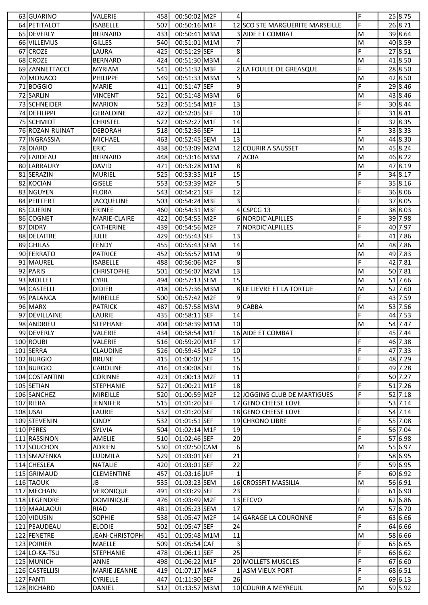| 63 GUARINO      | VALERIE           | 458  | 00:50:02 M2F   | 41           |                                 | lF.            | 25 8.75 |
|-----------------|-------------------|------|----------------|--------------|---------------------------------|----------------|---------|
| 64 PETITALOT    | ISABELLE          | 507  | 00:50:16 M1F   |              | 12 SCO STE MARGUERITE MARSEILLE | F              | 26 8.71 |
| 65 DEVERLY      | <b>BERNARD</b>    | 433  | 00:50:41 M3M   |              | <b>3 AIDE ET COMBAT</b>         | ΙM             | 39 8.64 |
| 66 VILLEMUS     | <b>GILLES</b>     | 540  | 00:51:01 M1M   | 7            |                                 | M              | 40 8.59 |
| 67 CROZE        | LAURA             | 425  | 00:51:29 SEF   | 8            |                                 | F              | 27 8.51 |
| 68 CROZE        | <b>BERNARD</b>    | 424  | 00:51:30 M3M   | 4            |                                 | M              | 418.50  |
| 69 ZANNETTACCI  | <b>MYRIAM</b>     | 541  | 00:51:32 M3F   |              | 2 LA FOULEE DE GREASQUE         | F              | 28 8.50 |
| 70 MONACO       | PHILIPPE          | 549  | 00:51:33 M3M   | 5            |                                 | M              | 42 8.50 |
| 71 BOGGIO       | <b>MARIE</b>      | 411  | 00:51:47 SEF   | 9            |                                 | F              | 29 8.46 |
| 72 SARLIN       | <b>VINCENT</b>    | 521  | 00:51:48 M3M   | 6            |                                 | M              | 43 8.46 |
| 73 SCHNEIDER    | <b>MARION</b>     | 523  | 00:51:54 M1F   | 13           |                                 | F              | 30 8.44 |
| 74 DEFILIPPI    | <b>GERALDINE</b>  | 427  | 00:52:05 SEF   | 10           |                                 | F              | 318.41  |
| 75 SCHMIDT      | <b>CHRISTEL</b>   | 522  | 00:52:27 M1F   | 14           |                                 | F              | 32 8.35 |
|                 |                   |      | 00:52:36 SEF   | 11           |                                 | F              | 33 8.33 |
| 76 ROZAN-RUINAT | <b>DEBORAH</b>    | 518  |                |              |                                 |                | 44 8.30 |
| 77 INGRASSIA    | <b>MICHAEL</b>    | 463  | 00:52:45 SEM   | 13           |                                 | M              | 45 8.24 |
| 78 DIARD        | <b>ERIC</b>       | 438  | 00:53:09 M2M   |              | 12 COURIR A SAUSSET             | M              |         |
| 79 FARDEAU      | <b>BERNARD</b>    | 448  | 00:53:16 M3M   |              | 7 ACRA                          | M              | 46 8.22 |
| 80 LARRAURY     | <b>DAVID</b>      | 471  | 00:53:28 M1M   | 8            |                                 | ΙM             | 47 8.19 |
| 81 SERAZIN      | <b>MURIEL</b>     | 525  | 00:53:35 M1F   | 15           |                                 | F              | 34 8.17 |
| 82 KOCIAN       | <b>GISELE</b>     | 553  | 00:53:39 M2F   | 5            |                                 | F              | 35 8.16 |
| 83 NGUYEN       | <b>FLORA</b>      | 543  | 00:54:21 SEF   | 12           |                                 | F              | 36 8.06 |
| 84 PEIFFERT     | <b>JACQUELINE</b> | 503  | 00:54:24 M3F   | 3            |                                 | F              | 37 8.05 |
| 85 GUERIN       | <b>ERINEE</b>     | 460  | 00:54:31 M3F   |              | $4$ CSPCG 13                    | F              | 38 8.03 |
| 86 COGNET       | MARIE-CLAIRE      | 422  | 00:54:55 M2F   |              | 6 NORDIC'ALPILLES               | F              | 39 7.98 |
| 87 DIDRY        | <b>CATHERINE</b>  | 439  | 00:54:56 M2F   |              | NORDIC'ALPILLES                 | F              | 40 7.97 |
| 88 DELAITRE     | <b>JULIE</b>      | 429  | 00:55:43 SEF   | 13           |                                 | F              | 41 7.86 |
| 89 GHILAS       | FENDY             | 455  | 00:55:43 SEM   | 14           |                                 | M              | 48 7.86 |
| 90 FERRATO      | <b>PATRICE</b>    | 452  | 00:55:57 M1M   | 9            |                                 | M              | 49 7.83 |
| 91 MAUREL       | <b>ISABELLE</b>   | 488  | 00:56:06 M2F   | 8            |                                 | F              | 42 7.81 |
| 92 PARIS        | <b>CHRISTOPHE</b> | 501  | 00:56:07 M2M   | 13           |                                 | M              | 50 7.81 |
| 93 MOLLET       | <b>CYRIL</b>      | 494  | 00:57:13 SEM   | 15           |                                 | M              | 51 7.66 |
| 94 CASTELLI     | <b>DIDIER</b>     | 418  | 00:57:36 M3M   |              | 8 LE LIEVRE ET LA TORTUE        | M              | 52 7.60 |
| 95 PALANCA      | MIREILLE          | 500  | 00:57:42 M2F   | 9            |                                 | F              | 43 7.59 |
| 96 MARX         | <b>PATRICK</b>    | 487  | 00:57:58 M3M   |              | 9 CABBA                         | M              | 53 7.56 |
| 97 DEVILLAINE   | LAURIE            | 435  | 00:58:11 SEF   | 14           |                                 | F              | 44 7.53 |
| 98 ANDRIEU      | <b>STEPHANE</b>   | 404  | 00:58:39 M1M   | 10           |                                 | M              | 54 7.47 |
| 99 DEVERLY      | VALERIE           | 434  | 00:58:54 M1F   |              | 16 AIDE ET COMBAT               | $\overline{F}$ | 45 7.44 |
| 100 ROUBI       | VALERIE           | 516  | 00:59:20 M1F   | 17           |                                 | F              | 46 7.38 |
| 101 SERRA       | <b>CLAUDINE</b>   | 526  | 00:59:45 M2F   | 10           |                                 | F              | 47 7.33 |
| 102 BURGIO      | <b>BRUNE</b>      | 415  | 01:00:07 SEF   | 15           |                                 | F              | 48 7.29 |
| 103 BURGIO      | CAROLINE          | 416  | 01:00:08 SEF   | 16           |                                 | F              | 49 7.28 |
| 104 COSTANTINI  | <b>CORINNE</b>    | 423  | $01:00:13$ M2F | 11           |                                 | F              | 50 7.27 |
| 105 SETIAN      | <b>STEPHANIE</b>  | 527  | 01:00:21 M1F   | 18           |                                 | F              | 51 7.26 |
| 106 SANCHEZ     | MIREILLE          | 520  | 01:00:59 M2F   |              | 12 JOGGING CLUB DE MARTIGUES    | F              | 52 7.18 |
| 107 RIERA       | <b>JENNIFER</b>   | 515  | 01:01:20 SEF   |              | 17 GENO CHEESE LOVE             | F              | 53 7.14 |
| $108$ USAI      | LAURIE            | 537  | 01:01:20 SEF   |              | 18 GENO CHEESE LOVE             | F              | 54 7.14 |
| 109 STEVENIN    | <b>CINDY</b>      | 532  | 01:01:51 SEF   |              | 19 CHRONO LIBRE                 | F              | 55 7.08 |
| 110 PERES       | SYLVIA            | 504  | 01:02:14 M1F   | 19           |                                 | F              | 56 7.04 |
| 111 RASSINON    | AMELIE            | 510  | 01:02:46 SEF   | 20           |                                 | F              | 57 6.98 |
| 112 SOUCHON     | ADRIEN            | 530l | 01:02:50 CAM   | 6            |                                 | M              | 55 6.97 |
| 113 SMAZENKA    |                   | 529  | 01:03:01 SEF   | 21           |                                 | F              | 58 6.95 |
| 114 CHESLEA     | LUDMILA           |      | 01:03:01 SEF   | 22           |                                 | F              | 59 6.95 |
|                 | <b>NATALIE</b>    | 420  |                | $\mathbf{1}$ |                                 | F              | 60 6.92 |
| 115 GRIMAUD     | <b>CLEMENTINE</b> | 457  | $01:03:16$ JUF |              |                                 |                |         |
| 116 TAOUK       | JB                | 535  | 01:03:23 SEM   |              | 16 CROSSFIT MASSILIA            | M              | 56 6.91 |
| 117 MECHAIN     | VERONIQUE         | 491  | 01:03:29 SEF   | 23           |                                 | F              | 61 6.90 |
| 118 LEGENDRE    | <b>DOMINIQUE</b>  | 476  | 01:03:49 M2F   |              | 13 EFCVO                        | F              | 62 6.86 |
| 119 MAALAOUI    | <b>RIAD</b>       | 481  | 01:05:23 SEM   | 17           |                                 | M              | 57 6.70 |
| 120 VIDUSIN     | <b>SOPHIE</b>     | 538  | 01:05:47 M2F   |              | 14 GARAGE LA COURONNE           | F              | 63 6.66 |
| 121 PEAUDEAU    | <b>ELODIE</b>     | 502  | 01:05:47 SEF   | 24           |                                 | F              | 64 6.66 |
| 122 FENETRE     | JEAN-CHRISTOPH    | 451  | 01:05:48 M1M   | 11           |                                 | M              | 58 6.66 |
| 123 POIRIER     | <b>MAELLE</b>     | 509  | 01:05:54 CAF   | 3            |                                 | F              | 65 6.65 |
| 124 LO-KA-TSU   | STEPHANIE         | 478  | 01:06:11 SEF   | 25           |                                 | F              | 66 6.62 |
| 125 MUNICH      | ANNE              | 498  | 01:06:22 M1F   |              | 20 MOLLETS MUSCLES              | F              | 67 6.60 |
| 126 CASTELLISI  | MARIE-JEANNE      | 419  | 01:07:17 M4F   |              | 1 ASM VIEUX PORT                | F              | 68 6.51 |
| 127 FANTI       | <b>CYRIELLE</b>   | 447  | 01:11:30 SEF   | 26           |                                 | F              | 69 6.13 |
| 128 RICHARD     |                   |      | 01:13:57 M3M   |              | 10 COURIR A MEYREUIL            | M              | 59 5.92 |